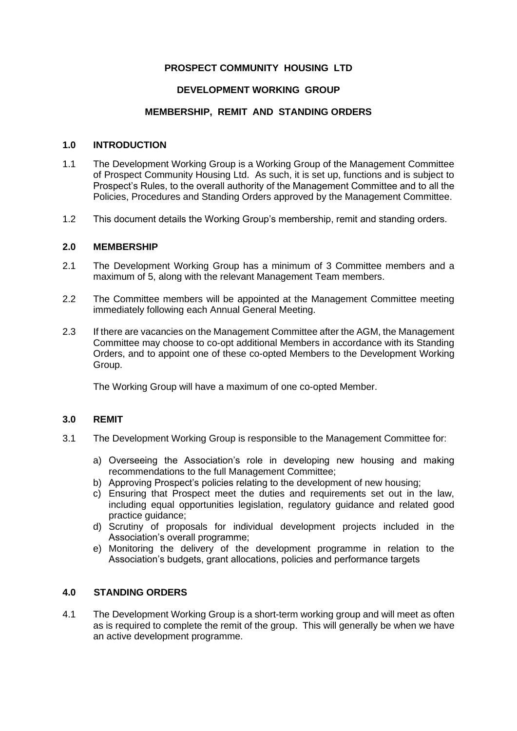# **PROSPECT COMMUNITY HOUSING LTD**

## **DEVELOPMENT WORKING GROUP**

## **MEMBERSHIP, REMIT AND STANDING ORDERS**

#### **1.0 INTRODUCTION**

- 1.1 The Development Working Group is a Working Group of the Management Committee of Prospect Community Housing Ltd. As such, it is set up, functions and is subject to Prospect's Rules, to the overall authority of the Management Committee and to all the Policies, Procedures and Standing Orders approved by the Management Committee.
- 1.2 This document details the Working Group's membership, remit and standing orders.

# **2.0 MEMBERSHIP**

- 2.1 The Development Working Group has a minimum of 3 Committee members and a maximum of 5, along with the relevant Management Team members.
- 2.2 The Committee members will be appointed at the Management Committee meeting immediately following each Annual General Meeting.
- 2.3 If there are vacancies on the Management Committee after the AGM, the Management Committee may choose to co-opt additional Members in accordance with its Standing Orders, and to appoint one of these co-opted Members to the Development Working Group.

The Working Group will have a maximum of one co-opted Member.

# **3.0 REMIT**

- 3.1 The Development Working Group is responsible to the Management Committee for:
	- a) Overseeing the Association's role in developing new housing and making recommendations to the full Management Committee;
	- b) Approving Prospect's policies relating to the development of new housing;
	- c) Ensuring that Prospect meet the duties and requirements set out in the law, including equal opportunities legislation, regulatory guidance and related good practice guidance;
	- d) Scrutiny of proposals for individual development projects included in the Association's overall programme;
	- e) Monitoring the delivery of the development programme in relation to the Association's budgets, grant allocations, policies and performance targets

# **4.0 STANDING ORDERS**

4.1 The Development Working Group is a short-term working group and will meet as often as is required to complete the remit of the group. This will generally be when we have an active development programme.